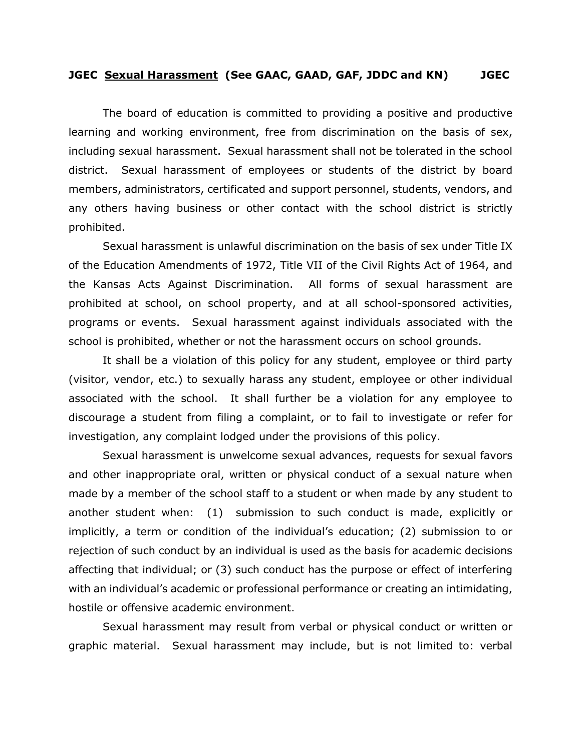## **JGEC Sexual Harassment (See GAAC, GAAD, GAF, JDDC and KN) JGEC**

The board of education is committed to providing a positive and productive learning and working environment, free from discrimination on the basis of sex, including sexual harassment. Sexual harassment shall not be tolerated in the school district. Sexual harassment of employees or students of the district by board members, administrators, certificated and support personnel, students, vendors, and any others having business or other contact with the school district is strictly prohibited.

 Sexual harassment is unlawful discrimination on the basis of sex under Title IX of the Education Amendments of 1972, Title VII of the Civil Rights Act of 1964, and the Kansas Acts Against Discrimination. All forms of sexual harassment are prohibited at school, on school property, and at all school-sponsored activities, programs or events. Sexual harassment against individuals associated with the school is prohibited, whether or not the harassment occurs on school grounds.

 It shall be a violation of this policy for any student, employee or third party (visitor, vendor, etc.) to sexually harass any student, employee or other individual associated with the school. It shall further be a violation for any employee to discourage a student from filing a complaint, or to fail to investigate or refer for investigation, any complaint lodged under the provisions of this policy.

 Sexual harassment is unwelcome sexual advances, requests for sexual favors and other inappropriate oral, written or physical conduct of a sexual nature when made by a member of the school staff to a student or when made by any student to another student when: (1) submission to such conduct is made, explicitly or implicitly, a term or condition of the individual's education; (2) submission to or rejection of such conduct by an individual is used as the basis for academic decisions affecting that individual; or (3) such conduct has the purpose or effect of interfering with an individual's academic or professional performance or creating an intimidating, hostile or offensive academic environment.

 Sexual harassment may result from verbal or physical conduct or written or graphic material. Sexual harassment may include, but is not limited to: verbal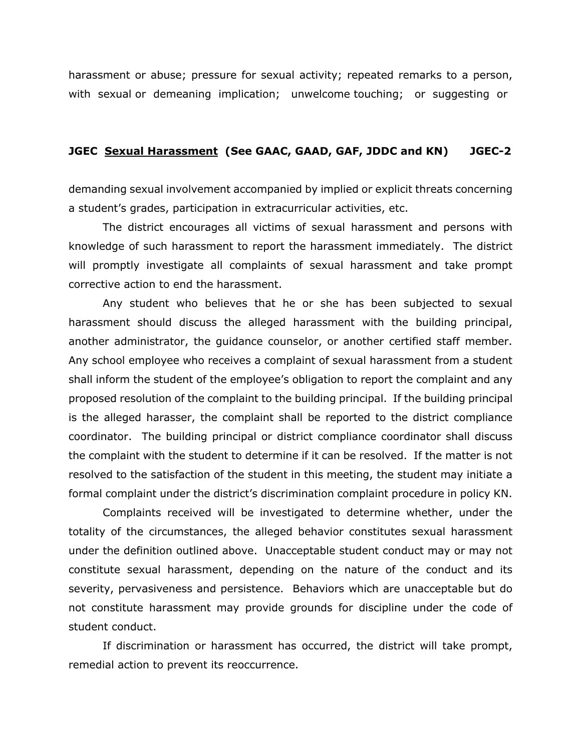harassment or abuse; pressure for sexual activity; repeated remarks to a person, with sexual or demeaning implication; unwelcome touching; or suggesting or

## **JGEC Sexual Harassment (See GAAC, GAAD, GAF, JDDC and KN) JGEC-2**

demanding sexual involvement accompanied by implied or explicit threats concerning a student's grades, participation in extracurricular activities, etc.

 The district encourages all victims of sexual harassment and persons with knowledge of such harassment to report the harassment immediately. The district will promptly investigate all complaints of sexual harassment and take prompt corrective action to end the harassment.

 Any student who believes that he or she has been subjected to sexual harassment should discuss the alleged harassment with the building principal, another administrator, the guidance counselor, or another certified staff member. Any school employee who receives a complaint of sexual harassment from a student shall inform the student of the employee's obligation to report the complaint and any proposed resolution of the complaint to the building principal. If the building principal is the alleged harasser, the complaint shall be reported to the district compliance coordinator. The building principal or district compliance coordinator shall discuss the complaint with the student to determine if it can be resolved. If the matter is not resolved to the satisfaction of the student in this meeting, the student may initiate a formal complaint under the district's discrimination complaint procedure in policy KN.

 Complaints received will be investigated to determine whether, under the totality of the circumstances, the alleged behavior constitutes sexual harassment under the definition outlined above. Unacceptable student conduct may or may not constitute sexual harassment, depending on the nature of the conduct and its severity, pervasiveness and persistence. Behaviors which are unacceptable but do not constitute harassment may provide grounds for discipline under the code of student conduct.

 If discrimination or harassment has occurred, the district will take prompt, remedial action to prevent its reoccurrence.